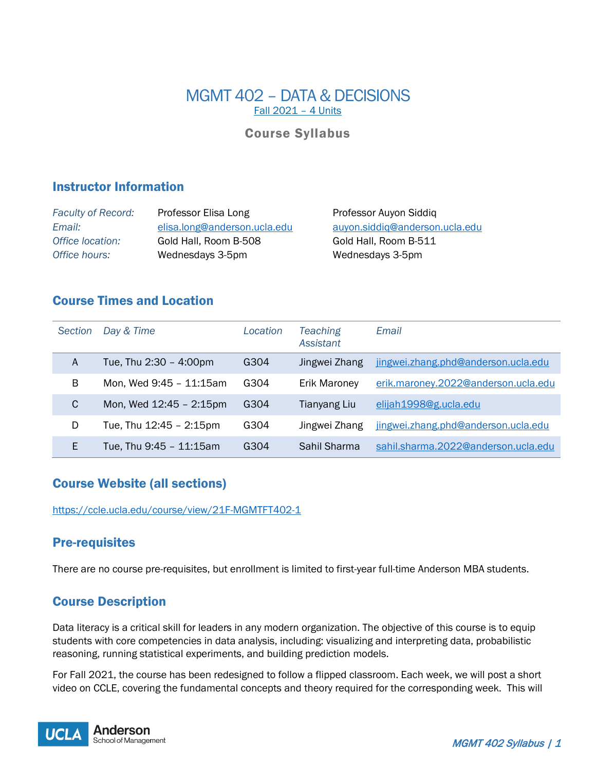# MGMT 402 – DATA & DECISIONS Fall 2021 – 4 Units

# Course Syllabus

## Instructor Information

| <b>Faculty of Record:</b> | Professor Elisa Long         |
|---------------------------|------------------------------|
| Email:                    | elisa.long@anderson.ucla.edu |
| Office location:          | Gold Hall, Room B-508        |
| Office hours:             | Wednesdays 3-5pm             |

**Professor Auyon Siddiq** *Email:* [elisa.long@anderson.ucla.edu](mailto:elisa.long@anderson.ucla.edu) [auyon.siddiq@anderson.ucla.edu](mailto:auyon.siddiq@anderson.ucla.edu) Gold Hall, Room B-511 Wednesdays 3-5pm

# Course Times and Location

| <b>Section</b> | Day & Time              | Location | Teaching<br><b>Assistant</b> | Email                               |
|----------------|-------------------------|----------|------------------------------|-------------------------------------|
| Α              | Tue, Thu 2:30 - 4:00pm  | G304     | Jingwei Zhang                | jingwei.zhang.phd@anderson.ucla.edu |
| B              | Mon, Wed 9:45 - 11:15am | G304     | <b>Erik Maroney</b>          | erik.maroney.2022@anderson.ucla.edu |
| C              | Mon, Wed 12:45 - 2:15pm | G304     | Tianyang Liu                 | elijah1998@g.ucla.edu               |
| D              | Tue, Thu 12:45 - 2:15pm | G304     | Jingwei Zhang                | jingwei.zhang.phd@anderson.ucla.edu |
| E              | Tue, Thu 9:45 - 11:15am | G304     | Sahil Sharma                 | sahil.sharma.2022@anderson.ucla.edu |

# Course Website (all sections)

<https://ccle.ucla.edu/course/view/21F-MGMTFT402-1>

# Pre-requisites

There are no course pre-requisites, but enrollment is limited to first-year full-time Anderson MBA students.

# Course Description

Data literacy is a critical skill for leaders in any modern organization. The objective of this course is to equip students with core competencies in data analysis, including: visualizing and interpreting data, probabilistic reasoning, running statistical experiments, and building prediction models.

For Fall 2021, the course has been redesigned to follow a flipped classroom. Each week, we will post a short video on CCLE, covering the fundamental concepts and theory required for the corresponding week. This will

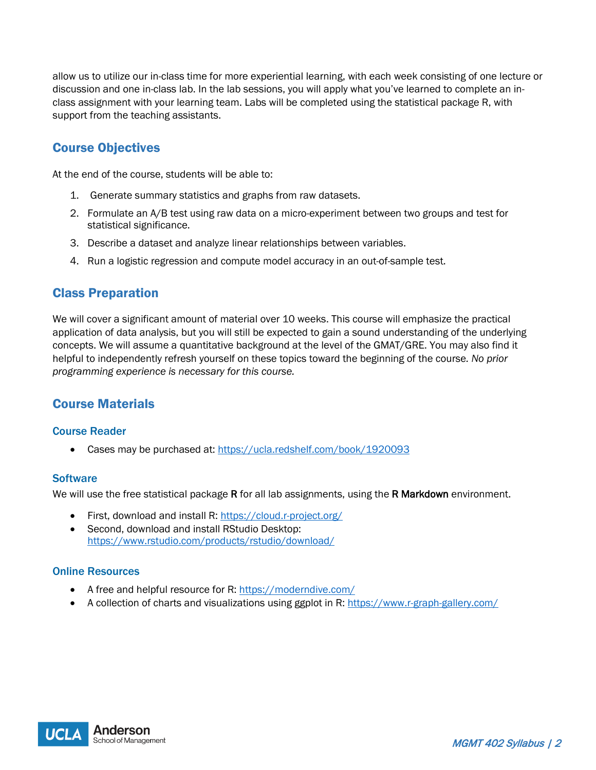allow us to utilize our in-class time for more experiential learning, with each week consisting of one lecture or discussion and one in-class lab. In the lab sessions, you will apply what you've learned to complete an inclass assignment with your learning team. Labs will be completed using the statistical package R, with support from the teaching assistants.

# Course Objectives

At the end of the course, students will be able to:

- 1. Generate summary statistics and graphs from raw datasets.
- 2. Formulate an A/B test using raw data on a micro-experiment between two groups and test for statistical significance.
- 3. Describe a dataset and analyze linear relationships between variables.
- 4. Run a logistic regression and compute model accuracy in an out-of-sample test.

## Class Preparation

We will cover a significant amount of material over 10 weeks. This course will emphasize the practical application of data analysis, but you will still be expected to gain a sound understanding of the underlying concepts. We will assume a quantitative background at the level of the GMAT/GRE. You may also find it helpful to independently refresh yourself on these topics toward the beginning of the course*. No prior programming experience is necessary for this course.* 

# Course Materials

### Course Reader

• Cases may be purchased at:<https://ucla.redshelf.com/book/1920093>

### **Software**

We will use the free statistical package R for all lab assignments, using the R Markdown environment.

- First, download and install R:<https://cloud.r-project.org/>
- Second, download and install RStudio Desktop: <https://www.rstudio.com/products/rstudio/download/>

### Online Resources

- A free and helpful resource for R:<https://moderndive.com/>
- A collection of charts and visualizations using ggplot in R:<https://www.r-graph-gallery.com/>

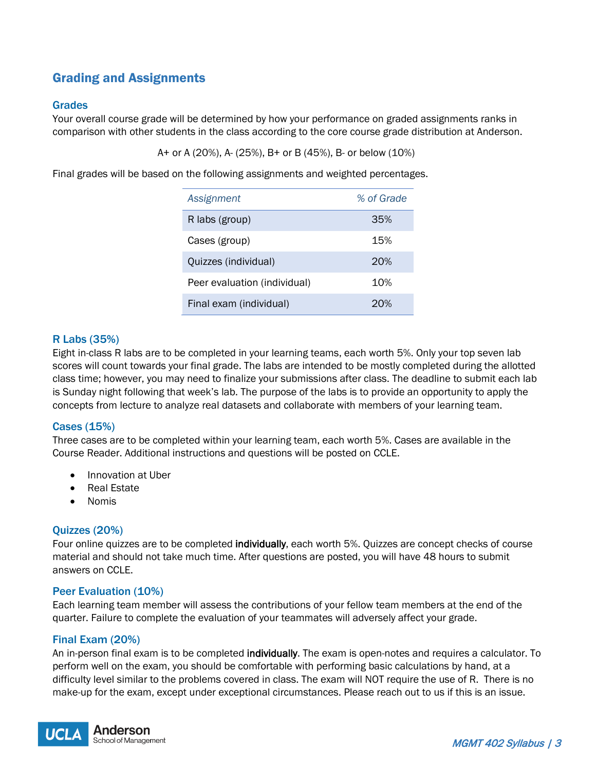# Grading and Assignments

## Grades

Your overall course grade will be determined by how your performance on graded assignments ranks in comparison with other students in the class according to the core course grade distribution at Anderson.

A+ or A (20%), A- (25%), B+ or B (45%), B- or below (10%)

Final grades will be based on the following assignments and weighted percentages.

| Assignment                   | % of Grade |
|------------------------------|------------|
| R labs (group)               | 35%        |
| Cases (group)                | 15%        |
| Quizzes (individual)         | 20%        |
| Peer evaluation (individual) | 10%        |
| Final exam (individual)      | 20%        |

## R Labs (35%)

Eight in-class R labs are to be completed in your learning teams, each worth 5%. Only your top seven lab scores will count towards your final grade. The labs are intended to be mostly completed during the allotted class time; however, you may need to finalize your submissions after class. The deadline to submit each lab is Sunday night following that week's lab. The purpose of the labs is to provide an opportunity to apply the concepts from lecture to analyze real datasets and collaborate with members of your learning team.

## Cases (15%)

Three cases are to be completed within your learning team, each worth 5%. Cases are available in the Course Reader. Additional instructions and questions will be posted on CCLE.

- Innovation at Uber
- Real Estate
- Nomis

### Quizzes (20%)

Four online quizzes are to be completed **individually**, each worth 5%. Quizzes are concept checks of course material and should not take much time. After questions are posted, you will have 48 hours to submit answers on CCLE.

### Peer Evaluation (10%)

Each learning team member will assess the contributions of your fellow team members at the end of the quarter. Failure to complete the evaluation of your teammates will adversely affect your grade.

### Final Exam (20%)

An in-person final exam is to be completed **individually**. The exam is open-notes and requires a calculator. To perform well on the exam, you should be comfortable with performing basic calculations by hand, at a difficulty level similar to the problems covered in class. The exam will NOT require the use of R. There is no make-up for the exam, except under exceptional circumstances. Please reach out to us if this is an issue.

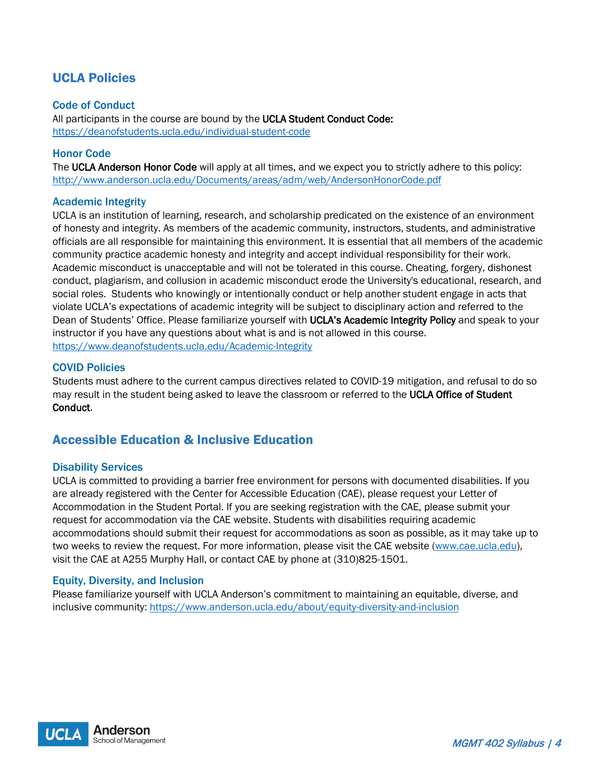# UCLA Policies

### Code of Conduct

All participants in the course are bound by the UCLA Student Conduct Code: <https://deanofstudents.ucla.edu/individual-student-code>

### Honor Code

The UCLA Anderson Honor Code will apply at all times, and we expect you to strictly adhere to this policy: <http://www.anderson.ucla.edu/Documents/areas/adm/web/AndersonHonorCode.pdf>

### Academic Integrity

UCLA is an institution of learning, research, and scholarship predicated on the existence of an environment of honesty and integrity. As members of the academic community, instructors, students, and administrative officials are all responsible for maintaining this environment. It is essential that all members of the academic community practice academic honesty and integrity and accept individual responsibility for their work. Academic misconduct is unacceptable and will not be tolerated in this course. Cheating, forgery, dishonest conduct, plagiarism, and collusion in academic misconduct erode the University's educational, research, and social roles. Students who knowingly or intentionally conduct or help another student engage in acts that violate UCLA's expectations of academic integrity will be subject to disciplinary action and referred to the Dean of Students' Office. Please familiarize yourself with UCLA's Academic Integrity Policy and speak to your instructor if you have any questions about what is and is not allowed in this course. <https://www.deanofstudents.ucla.edu/Academic-Integrity>

### COVID Policies

Students must adhere to the current campus directives related to COVID-19 mitigation, and refusal to do so may result in the student being asked to leave the classroom or referred to the UCLA Office of Student Conduct.

# Accessible Education & Inclusive Education

### Disability Services

UCLA is committed to providing a barrier free environment for persons with documented disabilities. If you are already registered with the Center for Accessible Education (CAE), please request your Letter of Accommodation in the Student Portal. If you are seeking registration with the CAE, please submit your request for accommodation via the CAE website. Students with disabilities requiring academic accommodations should submit their request for accommodations as soon as possible, as it may take up to two weeks to review the request. For more information, please visit the CAE website [\(www.cae.ucla.edu\)](http://www.cae.ucla.edu/), visit the CAE at A255 Murphy Hall, or contact CAE by phone at (310)825-1501.

### Equity, Diversity, and Inclusion

Please familiarize yourself with UCLA Anderson's commitment to maintaining an equitable, diverse, and inclusive community: <https://www.anderson.ucla.edu/about/equity-diversity-and-inclusion>

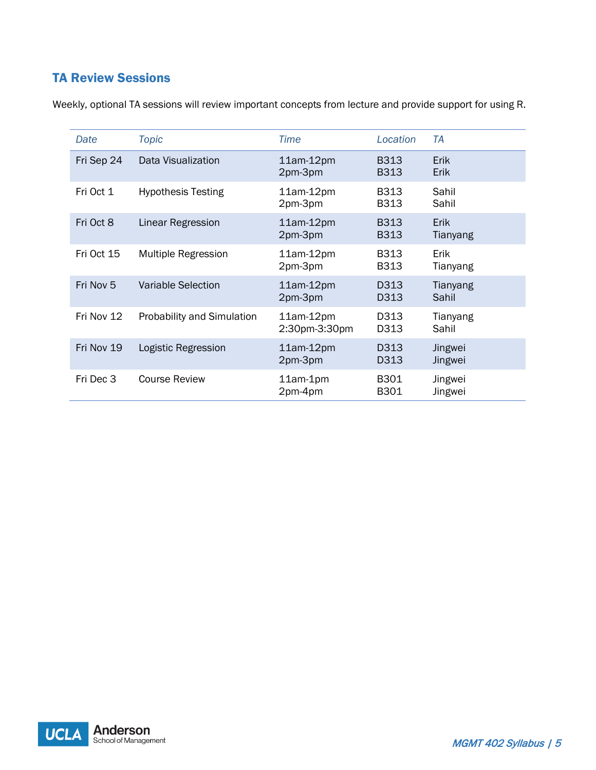# TA Review Sessions

| Date       | <b>Topic</b>                      | <b>Time</b>                  | Location                   | TA                         |
|------------|-----------------------------------|------------------------------|----------------------------|----------------------------|
| Fri Sep 24 | Data Visualization                | $11am-12pm$<br>2pm-3pm       | <b>B313</b><br><b>B313</b> | <b>Erik</b><br><b>Erik</b> |
| Fri Oct 1  | <b>Hypothesis Testing</b>         | $11am-12pm$<br>2pm-3pm       | <b>B313</b><br><b>B313</b> | Sahil<br>Sahil             |
| Fri Oct 8  | Linear Regression                 | $11am-12pm$<br>2pm-3pm       | <b>B313</b><br><b>B313</b> | Erik<br>Tianyang           |
| Fri Oct 15 | Multiple Regression               | $11am-12pm$<br>2pm-3pm       | <b>B313</b><br>B313        | Erik<br>Tianyang           |
| Fri Nov 5  | <b>Variable Selection</b>         | $11am-12pm$<br>2pm-3pm       | D313<br>D313               | Tianyang<br>Sahil          |
| Fri Nov 12 | <b>Probability and Simulation</b> | $11am-12pm$<br>2:30pm-3:30pm | D313<br>D313               | Tianyang<br>Sahil          |
| Fri Nov 19 | Logistic Regression               | $11am-12pm$<br>2pm-3pm       | D313<br>D313               | Jingwei<br>Jingwei         |
| Fri Dec 3  | <b>Course Review</b>              | 11am-1pm<br>2pm-4pm          | B301<br>B301               | Jingwei<br>Jingwei         |

Weekly, optional TA sessions will review important concepts from lecture and provide support for using R.